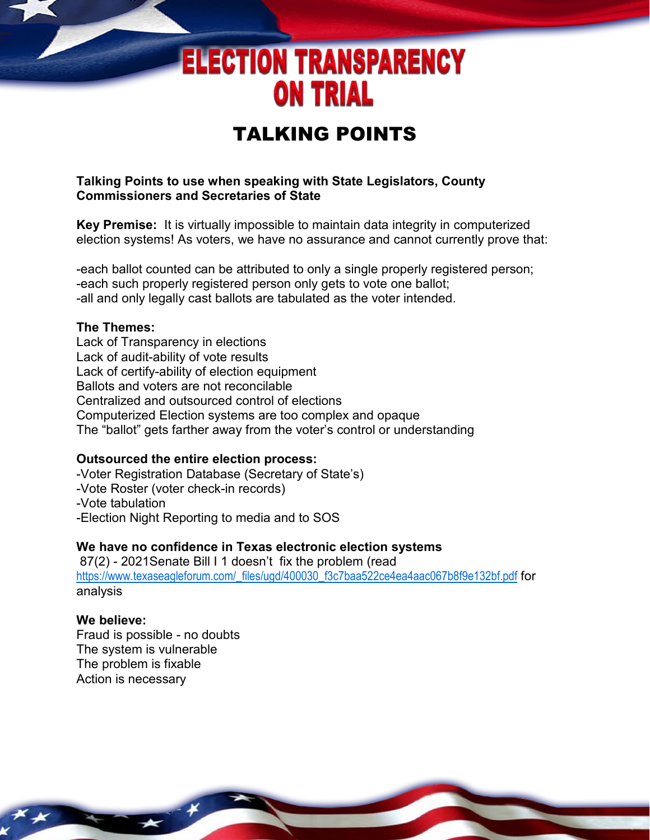# **ELECTION TRANSPARENCY ON TRIAL**

# TALKING POINTS

## **Talking Points to use when speaking with State Legislators, County Commissioners and Secretaries of State**

**Key Premise:** It is virtually impossible to maintain data integrity in computerized election systems! As voters, we have no assurance and cannot currently prove that:

-each ballot counted can be attributed to only a single properly registered person; -each such properly registered person only gets to vote one ballot; -all and only legally cast ballots are tabulated as the voter intended.

#### **The Themes:**

Lack of Transparency in elections Lack of audit-ability of vote results Lack of certify-ability of election equipment Ballots and voters are not reconcilable Centralized and outsourced control of elections Computerized Election systems are too complex and opaque The "ballot" gets farther away from the voter's control or understanding

#### **Outsourced the entire election process:**

-Voter Registration Database (Secretary of State's) -Vote Roster (voter check-in records) -Vote tabulation -Election Night Reporting to media and to SOS

#### **We have no confidence in Texas electronic election systems**

87(2) - 2021Senate Bill I 1 doesn't fix the problem (read [https://www.texaseagleforum.com/\\_files/ugd/400030\\_f3c7baa522ce4ea4aac067b8f9e132bf.pdf](https://www.texaseagleforum.com/_files/ugd/400030_f3c7baa522ce4ea4aac067b8f9e132bf.pdf) for analysis

## **We believe:**

Fraud is possible - no doubts The system is vulnerable The problem is fixable Action is necessary